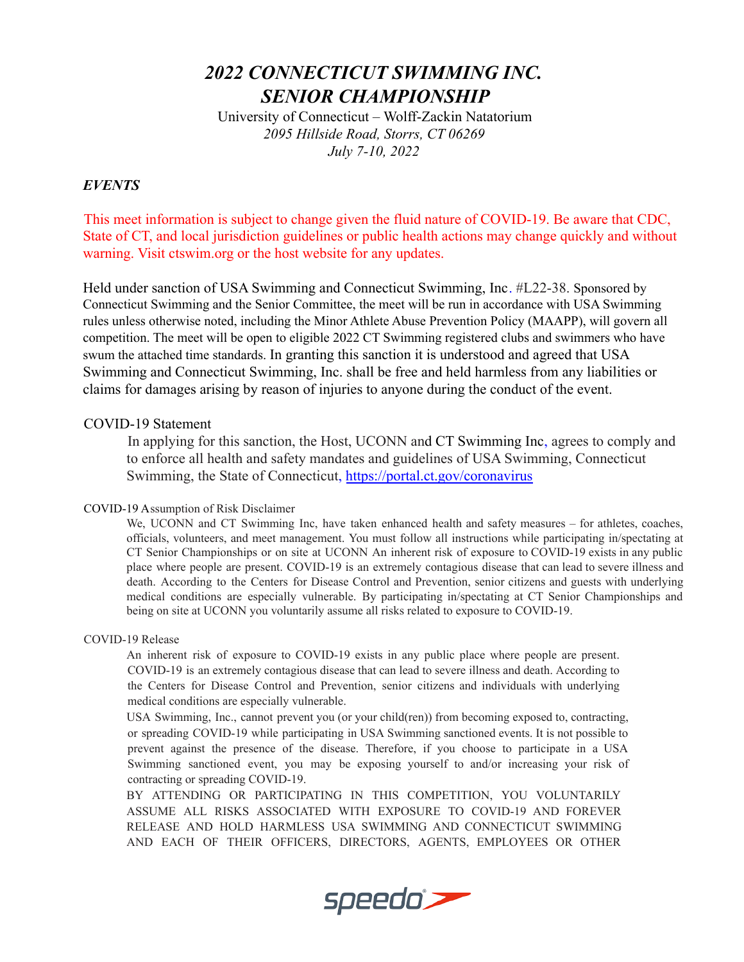# *2022 CONNECTICUT SWIMMING INC. SENIOR CHAMPIONSHIP*

University of Connecticut – Wolff-Zackin Natatorium *2095 Hillside Road, Storrs, CT 06269 July 7-10, 2022*

### *EVENTS*

This meet information is subject to change given the fluid nature of COVID-19. Be aware that CDC, State of CT, and local jurisdiction guidelines or public health actions may change quickly and without warning. Visit ctswim.org or the host website for any updates.

Held under sanction of USA Swimming and Connecticut Swimming, Inc. #L22-38. Sponsored by Connecticut Swimming and the Senior Committee, the meet will be run in accordance with USA Swimming rules unless otherwise noted, including the Minor Athlete Abuse Prevention Policy (MAAPP), will govern all competition. The meet will be open to eligible 2022 CT Swimming registered clubs and swimmers who have swum the attached time standards. In granting this sanction it is understood and agreed that USA Swimming and Connecticut Swimming, Inc. shall be free and held harmless from any liabilities or claims for damages arising by reason of injuries to anyone during the conduct of the event.

#### COVID-19 Statement

In applying for this sanction, the Host, UCONN and CT Swimming Inc, agrees to comply and to enforce all health and safety mandates and guidelines of USA Swimming, Connecticut Swimming, the State of Connecticut, https://portal.ct.gov/coronavirus

#### COVID-19 Assumption of Risk Disclaimer

We, UCONN and CT Swimming Inc, have taken enhanced health and safety measures – for athletes, coaches, officials, volunteers, and meet management. You must follow all instructions while participating in/spectating at CT Senior Championships or on site at UCONN An inherent risk of exposure to COVID-19 exists in any public place where people are present. COVID-19 is an extremely contagious disease that can lead to severe illness and death. According to the Centers for Disease Control and Prevention, senior citizens and guests with underlying medical conditions are especially vulnerable. By participating in/spectating at CT Senior Championships and being on site at UCONN you voluntarily assume all risks related to exposure to COVID-19.

#### COVID-19 Release

An inherent risk of exposure to COVID-19 exists in any public place where people are present. COVID-19 is an extremely contagious disease that can lead to severe illness and death. According to the Centers for Disease Control and Prevention, senior citizens and individuals with underlying medical conditions are especially vulnerable.

USA Swimming, Inc., cannot prevent you (or your child(ren)) from becoming exposed to, contracting, or spreading COVID-19 while participating in USA Swimming sanctioned events. It is not possible to prevent against the presence of the disease. Therefore, if you choose to participate in a USA Swimming sanctioned event, you may be exposing yourself to and/or increasing your risk of contracting or spreading COVID-19.

BY ATTENDING OR PARTICIPATING IN THIS COMPETITION, YOU VOLUNTARILY ASSUME ALL RISKS ASSOCIATED WITH EXPOSURE TO COVID-19 AND FOREVER RELEASE AND HOLD HARMLESS USA SWIMMING AND CONNECTICUT SWIMMING AND EACH OF THEIR OFFICERS, DIRECTORS, AGENTS, EMPLOYEES OR OTHER

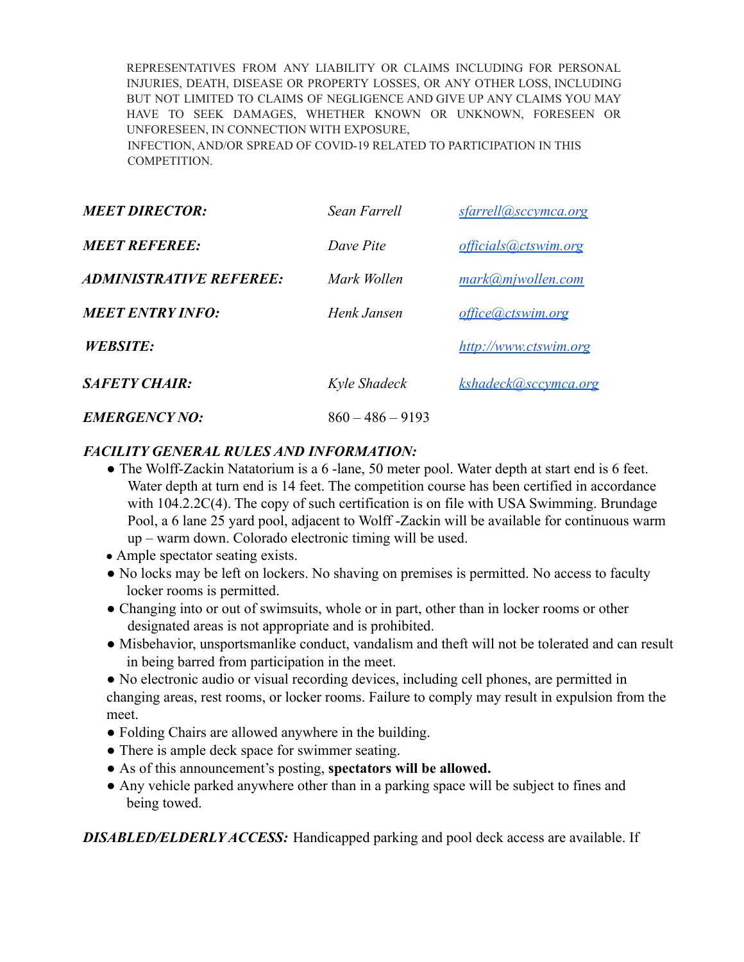REPRESENTATIVES FROM ANY LIABILITY OR CLAIMS INCLUDING FOR PERSONAL INJURIES, DEATH, DISEASE OR PROPERTY LOSSES, OR ANY OTHER LOSS, INCLUDING BUT NOT LIMITED TO CLAIMS OF NEGLIGENCE AND GIVE UP ANY CLAIMS YOU MAY HAVE TO SEEK DAMAGES, WHETHER KNOWN OR UNKNOWN, FORESEEN OR UNFORESEEN, IN CONNECTION WITH EXPOSURE, INFECTION, AND/OR SPREAD OF COVID-19 RELATED TO PARTICIPATION IN THIS

COMPETITION.

| <b>MEET DIRECTOR:</b>          | Sean Farrell       | sfarrell@sccymca.org  |
|--------------------------------|--------------------|-----------------------|
| <b>MEET REFEREE:</b>           | Dave Pite          | officials@ctswim.org  |
| <b>ADMINISTRATIVE REFEREE:</b> | Mark Wollen        | mark@mjwollen.com     |
| <b>MEET ENTRY INFO:</b>        | Henk Jansen        | office@ctswim.org     |
| <b>WEBSITE:</b>                |                    | http://www.ctswim.org |
| <b>SAFETY CHAIR:</b>           | Kyle Shadeck       | kshadeck@sccymca.org  |
| <b>EMERGENCY NO:</b>           | $860 - 486 - 9193$ |                       |

### *FACILITY GENERAL RULES AND INFORMATION:*

- The Wolff-Zackin Natatorium is a 6-lane, 50 meter pool. Water depth at start end is 6 feet. Water depth at turn end is 14 feet. The competition course has been certified in accordance with 104.2.2C(4). The copy of such certification is on file with USA Swimming. Brundage Pool, a 6 lane 25 yard pool, adjacent to Wolff -Zackin will be available for continuous warm up – warm down. Colorado electronic timing will be used.
- Ample spectator seating exists.
- No locks may be left on lockers. No shaving on premises is permitted. No access to faculty locker rooms is permitted.
- Changing into or out of swimsuits, whole or in part, other than in locker rooms or other designated areas is not appropriate and is prohibited.
- Misbehavior, unsportsmanlike conduct, vandalism and theft will not be tolerated and can result in being barred from participation in the meet.
- No electronic audio or visual recording devices, including cell phones, are permitted in changing areas, rest rooms, or locker rooms. Failure to comply may result in expulsion from the meet.
- Folding Chairs are allowed anywhere in the building.
- There is ample deck space for swimmer seating.
- As of this announcement's posting, **spectators will be allowed.**
- Any vehicle parked anywhere other than in a parking space will be subject to fines and being towed.

*DISABLED/ELDERLY ACCESS:* Handicapped parking and pool deck access are available. If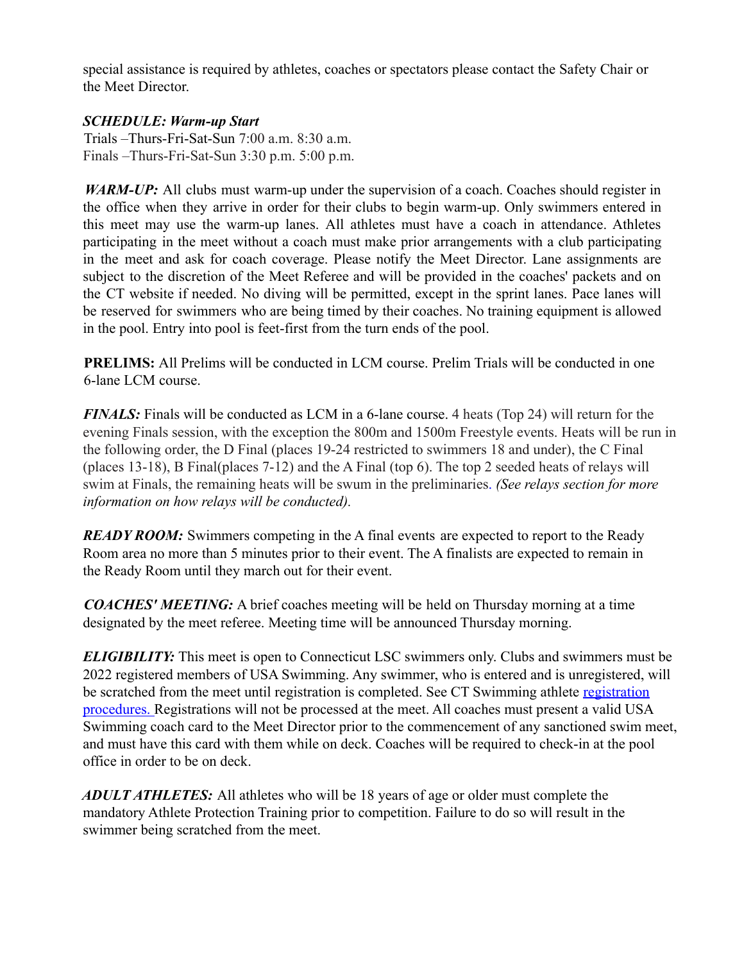special assistance is required by athletes, coaches or spectators please contact the Safety Chair or the Meet Director.

## *SCHEDULE: Warm-up Start*

Trials –Thurs-Fri-Sat-Sun 7:00 a.m. 8:30 a.m. Finals –Thurs-Fri-Sat-Sun 3:30 p.m. 5:00 p.m.

*WARM-UP*: All clubs must warm-up under the supervision of a coach. Coaches should register in the office when they arrive in order for their clubs to begin warm-up. Only swimmers entered in this meet may use the warm-up lanes. All athletes must have a coach in attendance. Athletes participating in the meet without a coach must make prior arrangements with a club participating in the meet and ask for coach coverage. Please notify the Meet Director. Lane assignments are subject to the discretion of the Meet Referee and will be provided in the coaches' packets and on the CT website if needed. No diving will be permitted, except in the sprint lanes. Pace lanes will be reserved for swimmers who are being timed by their coaches. No training equipment is allowed in the pool. Entry into pool is feet-first from the turn ends of the pool.

**PRELIMS:** All Prelims will be conducted in LCM course. Prelim Trials will be conducted in one 6-lane LCM course.

*FINALS:* Finals will be conducted as LCM in a 6-lane course. 4 heats (Top 24) will return for the evening Finals session, with the exception the 800m and 1500m Freestyle events. Heats will be run in the following order, the D Final (places 19-24 restricted to swimmers 18 and under), the C Final (places 13-18), B Final(places 7-12) and the A Final (top 6). The top 2 seeded heats of relays will swim at Finals, the remaining heats will be swum in the preliminaries. *(See relays section for more information on how relays will be conducted).*

*READY ROOM:* Swimmers competing in the A final events are expected to report to the Ready Room area no more than 5 minutes prior to their event. The A finalists are expected to remain in the Ready Room until they march out for their event.

*COACHES' MEETING:* A brief coaches meeting will be held on Thursday morning at a time designated by the meet referee. Meeting time will be announced Thursday morning.

*ELIGIBILITY:* This meet is open to Connecticut LSC swimmers only. Clubs and swimmers must be 2022 registered members of USA Swimming. Any swimmer, who is entered and is unregistered, will be scratched from the meet until registration is completed. See CT Swimming athlete registration procedures. Registrations will not be processed at the meet. All coaches must present a valid USA Swimming coach card to the Meet Director prior to the commencement of any sanctioned swim meet, and must have this card with them while on deck. Coaches will be required to check-in at the pool office in order to be on deck.

*ADULT ATHLETES:* All athletes who will be 18 years of age or older must complete the mandatory Athlete Protection Training prior to competition. Failure to do so will result in the swimmer being scratched from the meet.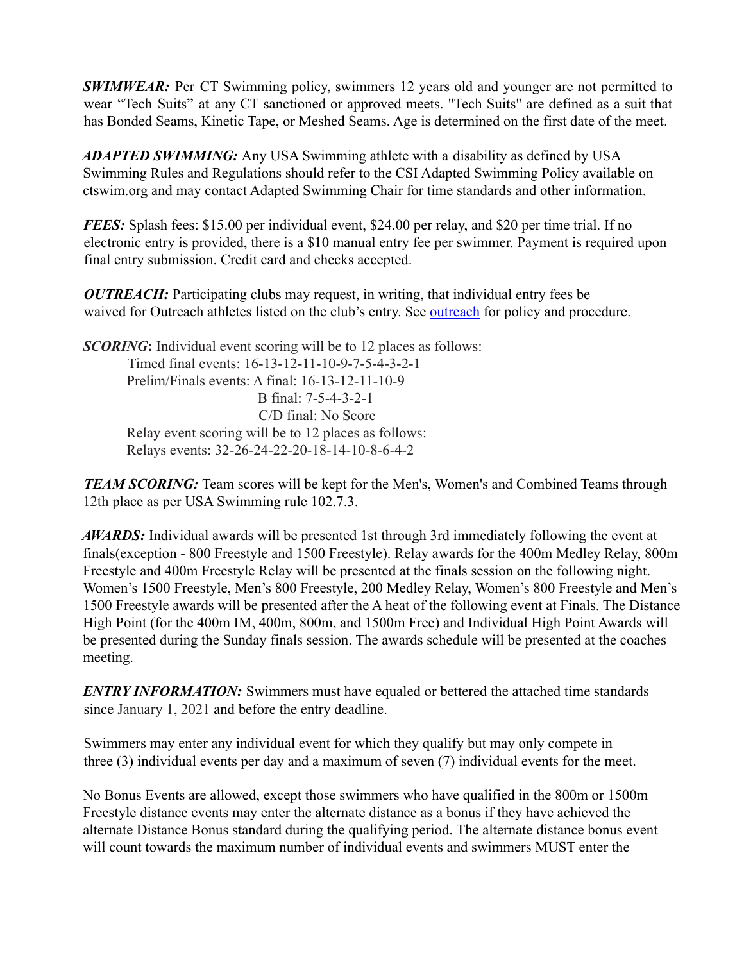*SWIMWEAR:* Per CT Swimming policy, swimmers 12 years old and younger are not permitted to wear "Tech Suits" at any CT sanctioned or approved meets. "Tech Suits" are defined as a suit that has Bonded Seams, Kinetic Tape, or Meshed Seams. Age is determined on the first date of the meet.

*ADAPTED SWIMMING:* Any USA Swimming athlete with a disability as defined by USA Swimming Rules and Regulations should refer to the CSI Adapted Swimming Policy available on ctswim.org and may contact Adapted Swimming Chair for time standards and other information.

*FEES:* Splash fees: \$15.00 per individual event, \$24.00 per relay, and \$20 per time trial. If no electronic entry is provided, there is a \$10 manual entry fee per swimmer. Payment is required upon final entry submission. Credit card and checks accepted.

*OUTREACH:* Participating clubs may request, in writing, that individual entry fees be waived for Outreach athletes listed on the club's entry. See outreach for policy and procedure.

*SCORING*: Individual event scoring will be to 12 places as follows: Timed final events: 16-13-12-11-10-9-7-5-4-3-2-1 Prelim/Finals events: A final: 16-13-12-11-10-9 B final: 7-5-4-3-2-1 C/D final: No Score Relay event scoring will be to 12 places as follows: Relays events: 32-26-24-22-20-18-14-10-8-6-4-2

*TEAM SCORING:* Team scores will be kept for the Men's, Women's and Combined Teams through 12th place as per USA Swimming rule 102.7.3.

*AWARDS:* Individual awards will be presented 1st through 3rd immediately following the event at finals(exception - 800 Freestyle and 1500 Freestyle). Relay awards for the 400m Medley Relay, 800m Freestyle and 400m Freestyle Relay will be presented at the finals session on the following night. Women's 1500 Freestyle, Men's 800 Freestyle, 200 Medley Relay, Women's 800 Freestyle and Men's 1500 Freestyle awards will be presented after the A heat of the following event at Finals. The Distance High Point (for the 400m IM, 400m, 800m, and 1500m Free) and Individual High Point Awards will be presented during the Sunday finals session. The awards schedule will be presented at the coaches meeting.

**ENTRY INFORMATION:** Swimmers must have equaled or bettered the attached time standards since January 1, 2021 and before the entry deadline.

Swimmers may enter any individual event for which they qualify but may only compete in three (3) individual events per day and a maximum of seven (7) individual events for the meet.

No Bonus Events are allowed, except those swimmers who have qualified in the 800m or 1500m Freestyle distance events may enter the alternate distance as a bonus if they have achieved the alternate Distance Bonus standard during the qualifying period. The alternate distance bonus event will count towards the maximum number of individual events and swimmers MUST enter the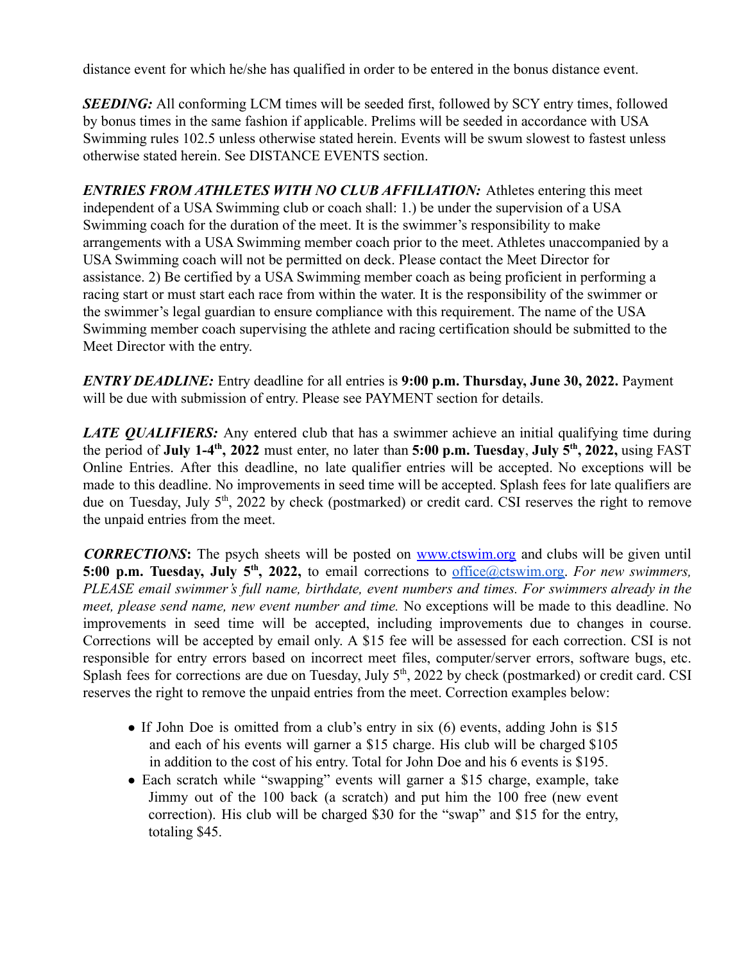distance event for which he/she has qualified in order to be entered in the bonus distance event.

**SEEDING:** All conforming LCM times will be seeded first, followed by SCY entry times, followed by bonus times in the same fashion if applicable. Prelims will be seeded in accordance with USA Swimming rules 102.5 unless otherwise stated herein. Events will be swum slowest to fastest unless otherwise stated herein. See DISTANCE EVENTS section.

*ENTRIES FROM ATHLETES WITH NO CLUB AFFILIATION:* Athletes entering this meet independent of a USA Swimming club or coach shall: 1.) be under the supervision of a USA Swimming coach for the duration of the meet. It is the swimmer's responsibility to make arrangements with a USA Swimming member coach prior to the meet. Athletes unaccompanied by a USA Swimming coach will not be permitted on deck. Please contact the Meet Director for assistance. 2) Be certified by a USA Swimming member coach as being proficient in performing a racing start or must start each race from within the water. It is the responsibility of the swimmer or the swimmer's legal guardian to ensure compliance with this requirement. The name of the USA Swimming member coach supervising the athlete and racing certification should be submitted to the Meet Director with the entry.

*ENTRY DEADLINE:* Entry deadline for all entries is **9:00 p.m. Thursday, June 30, 2022.** Payment will be due with submission of entry. Please see PAYMENT section for details.

*LATE QUALIFIERS:* Any entered club that has a swimmer achieve an initial qualifying time during the period of **July 1-4th , 2022** must enter, no later than **5:00 p.m. Tuesday**, **July 5 th , 2022,** using FAST Online Entries. After this deadline, no late qualifier entries will be accepted. No exceptions will be made to this deadline. No improvements in seed time will be accepted. Splash fees for late qualifiers are due on Tuesday, July 5<sup>th</sup>, 2022 by check (postmarked) or credit card. CSI reserves the right to remove the unpaid entries from the meet.

*CORRECTIONS***:** The psych sheets will be posted on www.ctswim.org and clubs will be given until **5:00 p.m.** Tuesday, July 5<sup>th</sup>, 2022, to email corrections to <u>office@ctswim.org</u>. For new swimmers, *PLEASE email swimmer's full name, birthdate, event numbers and times. For swimmers already in the meet, please send name, new event number and time.* No exceptions will be made to this deadline. No improvements in seed time will be accepted, including improvements due to changes in course. Corrections will be accepted by email only. A \$15 fee will be assessed for each correction. CSI is not responsible for entry errors based on incorrect meet files, computer/server errors, software bugs, etc. Splash fees for corrections are due on Tuesday, July 5<sup>th</sup>, 2022 by check (postmarked) or credit card. CSI reserves the right to remove the unpaid entries from the meet. Correction examples below:

- If John Doe is omitted from a club's entry in six (6) events, adding John is \$15 and each of his events will garner a \$15 charge. His club will be charged \$105 in addition to the cost of his entry. Total for John Doe and his 6 events is \$195.
- Each scratch while "swapping" events will garner a \$15 charge, example, take Jimmy out of the 100 back (a scratch) and put him the 100 free (new event correction). His club will be charged \$30 for the "swap" and \$15 for the entry, totaling \$45.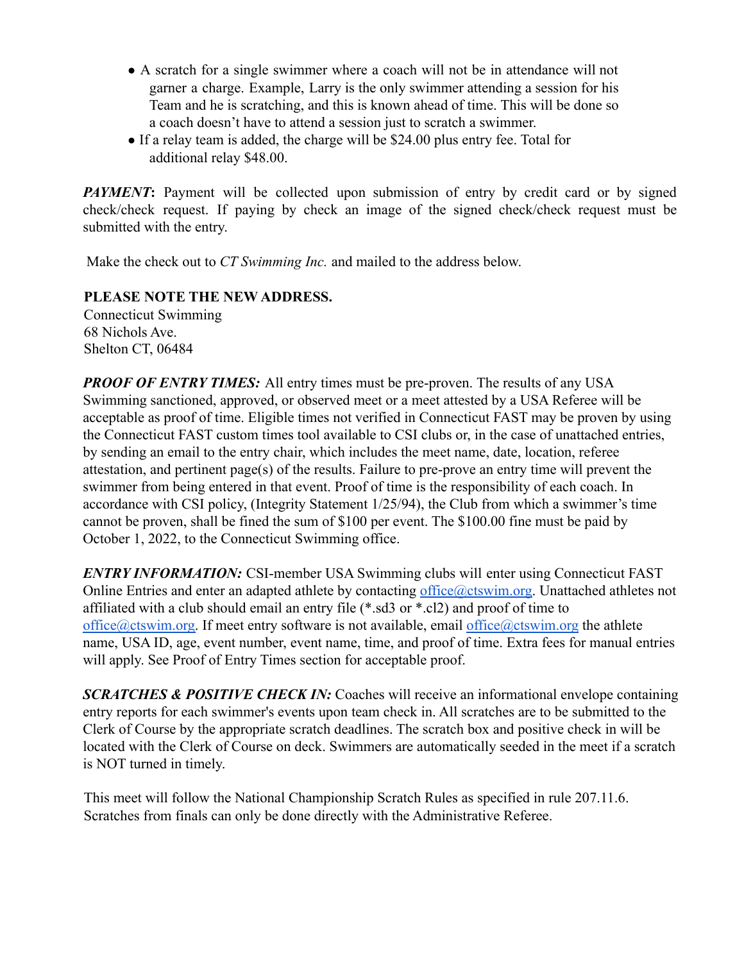- A scratch for a single swimmer where a coach will not be in attendance will not garner a charge. Example, Larry is the only swimmer attending a session for his Team and he is scratching, and this is known ahead of time. This will be done so a coach doesn't have to attend a session just to scratch a swimmer.
- If a relay team is added, the charge will be \$24.00 plus entry fee. Total for additional relay \$48.00.

*PAYMENT***:** Payment will be collected upon submission of entry by credit card or by signed check/check request. If paying by check an image of the signed check/check request must be submitted with the entry.

Make the check out to *CT Swimming Inc.* and mailed to the address below.

**PLEASE NOTE THE NEW ADDRESS.** Connecticut Swimming 68 Nichols Ave. Shelton CT, 06484

*PROOF OF ENTRY TIMES:* All entry times must be pre-proven. The results of any USA Swimming sanctioned, approved, or observed meet or a meet attested by a USA Referee will be acceptable as proof of time. Eligible times not verified in Connecticut FAST may be proven by using the Connecticut FAST custom times tool available to CSI clubs or, in the case of unattached entries, by sending an email to the entry chair, which includes the meet name, date, location, referee attestation, and pertinent page(s) of the results. Failure to pre-prove an entry time will prevent the swimmer from being entered in that event. Proof of time is the responsibility of each coach. In accordance with CSI policy, (Integrity Statement 1/25/94), the Club from which a swimmer's time cannot be proven, shall be fined the sum of \$100 per event. The \$100.00 fine must be paid by October 1, 2022, to the Connecticut Swimming office.

*ENTRY INFORMATION:* CSI-member USA Swimming clubs will enter using Connecticut FAST Online Entries and enter an adapted athlete by contacting [office@ctswim.org](mailto:office@ctswim.org). Unattached athletes not affiliated with a club should email an entry file (\*.sd3 or \*.cl2) and proof of time to [office@ctswim.org.](mailto:office@ctswim.org) If meet entry software is not available, email [office@ctswim.org](mailto:office@ctswim.org) the athlete name, USA ID, age, event number, event name, time, and proof of time. Extra fees for manual entries will apply. See Proof of Entry Times section for acceptable proof.

*SCRATCHES & POSITIVE CHECK IN:* Coaches will receive an informational envelope containing entry reports for each swimmer's events upon team check in. All scratches are to be submitted to the Clerk of Course by the appropriate scratch deadlines. The scratch box and positive check in will be located with the Clerk of Course on deck. Swimmers are automatically seeded in the meet if a scratch is NOT turned in timely.

This meet will follow the National Championship Scratch Rules as specified in rule 207.11.6. Scratches from finals can only be done directly with the Administrative Referee.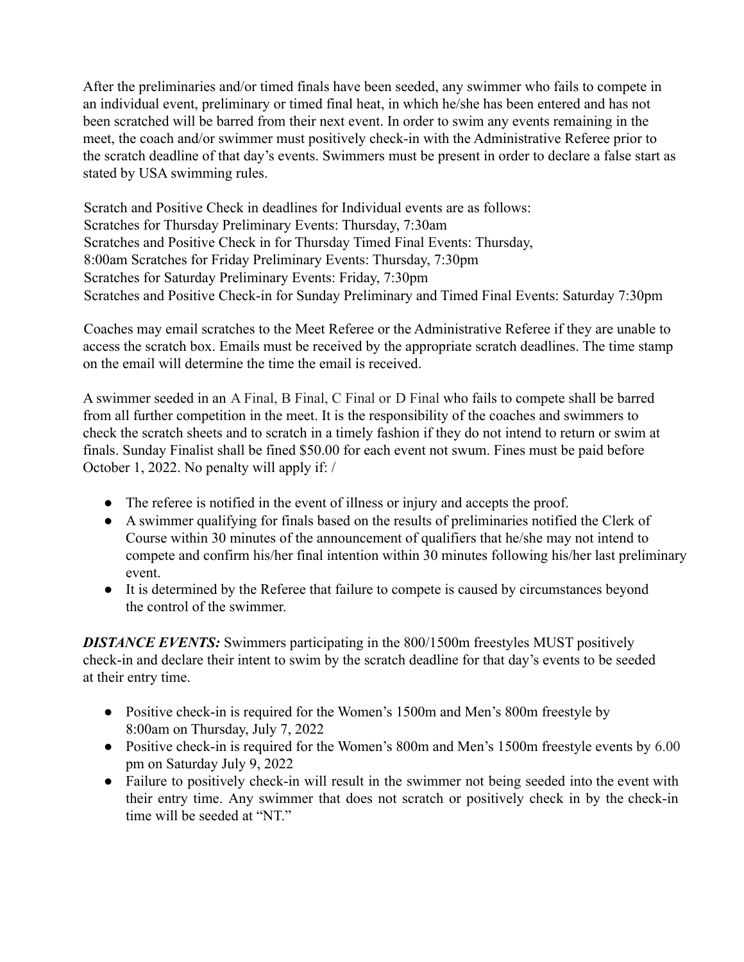After the preliminaries and/or timed finals have been seeded, any swimmer who fails to compete in an individual event, preliminary or timed final heat, in which he/she has been entered and has not been scratched will be barred from their next event. In order to swim any events remaining in the meet, the coach and/or swimmer must positively check-in with the Administrative Referee prior to the scratch deadline of that day's events. Swimmers must be present in order to declare a false start as stated by USA swimming rules.

Scratch and Positive Check in deadlines for Individual events are as follows: Scratches for Thursday Preliminary Events: Thursday, 7:30am Scratches and Positive Check in for Thursday Timed Final Events: Thursday, 8:00am Scratches for Friday Preliminary Events: Thursday, 7:30pm Scratches for Saturday Preliminary Events: Friday, 7:30pm Scratches and Positive Check-in for Sunday Preliminary and Timed Final Events: Saturday 7:30pm

Coaches may email scratches to the Meet Referee or the Administrative Referee if they are unable to access the scratch box. Emails must be received by the appropriate scratch deadlines. The time stamp on the email will determine the time the email is received.

A swimmer seeded in an A Final, B Final, C Final or D Final who fails to compete shall be barred from all further competition in the meet. It is the responsibility of the coaches and swimmers to check the scratch sheets and to scratch in a timely fashion if they do not intend to return or swim at finals. Sunday Finalist shall be fined \$50.00 for each event not swum. Fines must be paid before October 1, 2022. No penalty will apply if: /

- The referee is notified in the event of illness or injury and accepts the proof.
- A swimmer qualifying for finals based on the results of preliminaries notified the Clerk of Course within 30 minutes of the announcement of qualifiers that he/she may not intend to compete and confirm his/her final intention within 30 minutes following his/her last preliminary event.
- It is determined by the Referee that failure to compete is caused by circumstances beyond the control of the swimmer.

*DISTANCE EVENTS:* Swimmers participating in the 800/1500m freestyles MUST positively check-in and declare their intent to swim by the scratch deadline for that day's events to be seeded at their entry time.

- Positive check-in is required for the Women's 1500m and Men's 800m freestyle by 8:00am on Thursday, July 7, 2022
- Positive check-in is required for the Women's 800m and Men's 1500m freestyle events by 6.00 pm on Saturday July 9, 2022
- Failure to positively check-in will result in the swimmer not being seeded into the event with their entry time. Any swimmer that does not scratch or positively check in by the check-in time will be seeded at "NT."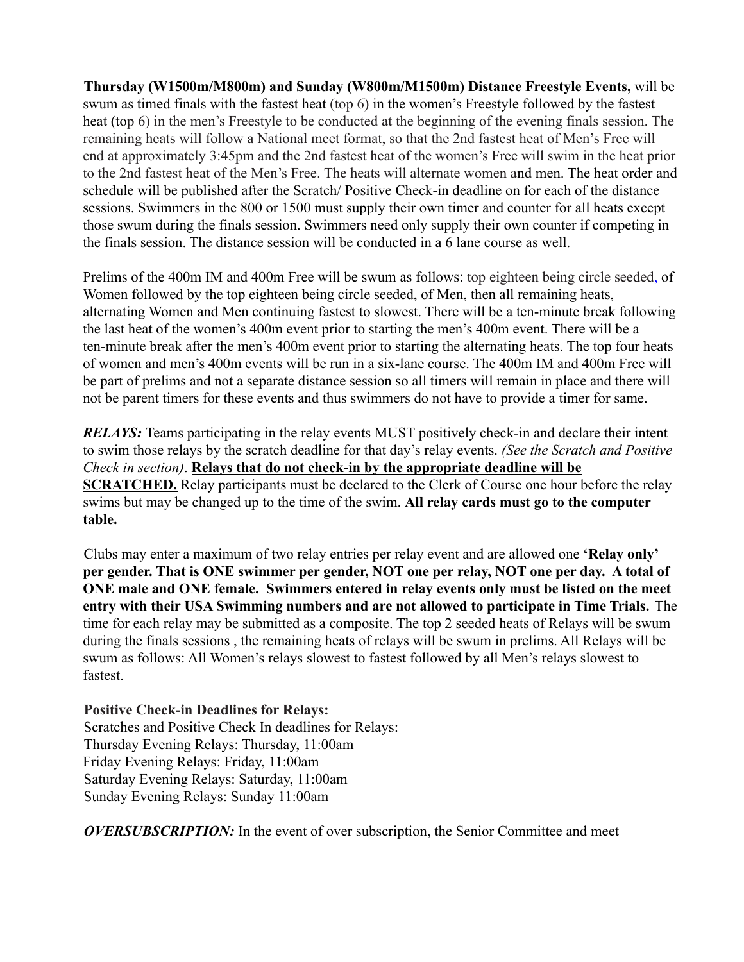**Thursday (W1500m/M800m) and Sunday (W800m/M1500m) Distance Freestyle Events,** will be swum as timed finals with the fastest heat (top 6) in the women's Freestyle followed by the fastest heat (top 6) in the men's Freestyle to be conducted at the beginning of the evening finals session. The remaining heats will follow a National meet format, so that the 2nd fastest heat of Men's Free will end at approximately 3:45pm and the 2nd fastest heat of the women's Free will swim in the heat prior to the 2nd fastest heat of the Men's Free. The heats will alternate women and men. The heat order and schedule will be published after the Scratch/ Positive Check-in deadline on for each of the distance sessions. Swimmers in the 800 or 1500 must supply their own timer and counter for all heats except those swum during the finals session. Swimmers need only supply their own counter if competing in the finals session. The distance session will be conducted in a 6 lane course as well.

Prelims of the 400m IM and 400m Free will be swum as follows: top eighteen being circle seeded, of Women followed by the top eighteen being circle seeded, of Men, then all remaining heats, alternating Women and Men continuing fastest to slowest. There will be a ten-minute break following the last heat of the women's 400m event prior to starting the men's 400m event. There will be a ten-minute break after the men's 400m event prior to starting the alternating heats. The top four heats of women and men's 400m events will be run in a six-lane course. The 400m IM and 400m Free will be part of prelims and not a separate distance session so all timers will remain in place and there will not be parent timers for these events and thus swimmers do not have to provide a timer for same.

*RELAYS:* Teams participating in the relay events MUST positively check-in and declare their intent to swim those relays by the scratch deadline for that day's relay events. *(See the Scratch and Positive Check in section)*. **Relays that do not check-in by the appropriate deadline will be SCRATCHED.** Relay participants must be declared to the Clerk of Course one hour before the relay swims but may be changed up to the time of the swim. **All relay cards must go to the computer table.**

Clubs may enter a maximum of two relay entries per relay event and are allowed one **'Relay only' per gender. That is ONE swimmer per gender, NOT one per relay, NOT one per day. A total of ONE male and ONE female. Swimmers entered in relay events only must be listed on the meet entry with their USA Swimming numbers and are not allowed to participate in Time Trials.** The time for each relay may be submitted as a composite. The top 2 seeded heats of Relays will be swum during the finals sessions , the remaining heats of relays will be swum in prelims. All Relays will be swum as follows: All Women's relays slowest to fastest followed by all Men's relays slowest to fastest.

## **Positive Check-in Deadlines for Relays:**

Scratches and Positive Check In deadlines for Relays: Thursday Evening Relays: Thursday, 11:00am Friday Evening Relays: Friday, 11:00am Saturday Evening Relays: Saturday, 11:00am Sunday Evening Relays: Sunday 11:00am

*OVERSUBSCRIPTION:* In the event of over subscription, the Senior Committee and meet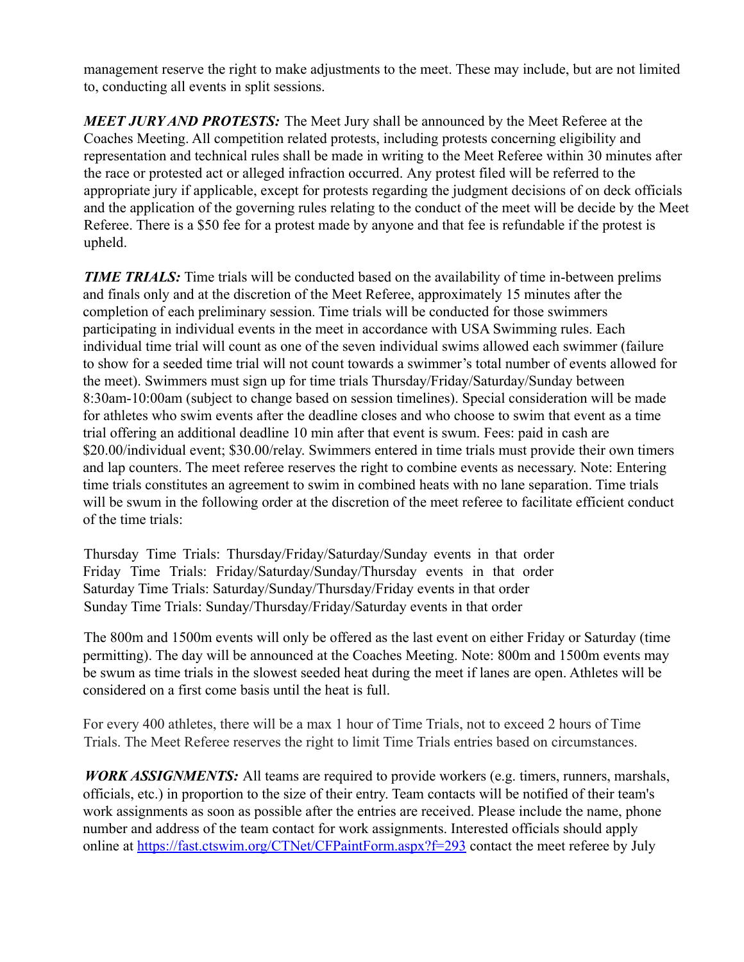management reserve the right to make adjustments to the meet. These may include, but are not limited to, conducting all events in split sessions.

*MEET JURY AND PROTESTS:* The Meet Jury shall be announced by the Meet Referee at the Coaches Meeting. All competition related protests, including protests concerning eligibility and representation and technical rules shall be made in writing to the Meet Referee within 30 minutes after the race or protested act or alleged infraction occurred. Any protest filed will be referred to the appropriate jury if applicable, except for protests regarding the judgment decisions of on deck officials and the application of the governing rules relating to the conduct of the meet will be decide by the Meet Referee. There is a \$50 fee for a protest made by anyone and that fee is refundable if the protest is upheld.

*TIME TRIALS:* Time trials will be conducted based on the availability of time in-between prelims and finals only and at the discretion of the Meet Referee, approximately 15 minutes after the completion of each preliminary session. Time trials will be conducted for those swimmers participating in individual events in the meet in accordance with USA Swimming rules. Each individual time trial will count as one of the seven individual swims allowed each swimmer (failure to show for a seeded time trial will not count towards a swimmer's total number of events allowed for the meet). Swimmers must sign up for time trials Thursday/Friday/Saturday/Sunday between 8:30am-10:00am (subject to change based on session timelines). Special consideration will be made for athletes who swim events after the deadline closes and who choose to swim that event as a time trial offering an additional deadline 10 min after that event is swum. Fees: paid in cash are \$20.00/individual event; \$30.00/relay. Swimmers entered in time trials must provide their own timers and lap counters. The meet referee reserves the right to combine events as necessary. Note: Entering time trials constitutes an agreement to swim in combined heats with no lane separation. Time trials will be swum in the following order at the discretion of the meet referee to facilitate efficient conduct of the time trials:

Thursday Time Trials: Thursday/Friday/Saturday/Sunday events in that order Friday Time Trials: Friday/Saturday/Sunday/Thursday events in that order Saturday Time Trials: Saturday/Sunday/Thursday/Friday events in that order Sunday Time Trials: Sunday/Thursday/Friday/Saturday events in that order

The 800m and 1500m events will only be offered as the last event on either Friday or Saturday (time permitting). The day will be announced at the Coaches Meeting. Note: 800m and 1500m events may be swum as time trials in the slowest seeded heat during the meet if lanes are open. Athletes will be considered on a first come basis until the heat is full.

For every 400 athletes, there will be a max 1 hour of Time Trials, not to exceed 2 hours of Time Trials. The Meet Referee reserves the right to limit Time Trials entries based on circumstances.

*WORK ASSIGNMENTS:* All teams are required to provide workers (e.g. timers, runners, marshals, officials, etc.) in proportion to the size of their entry. Team contacts will be notified of their team's work assignments as soon as possible after the entries are received. Please include the name, phone number and address of the team contact for work assignments. Interested officials should apply online at https://fast.ctswim.org/CTNet/CFPaintForm.aspx?f=293 contact the meet referee by July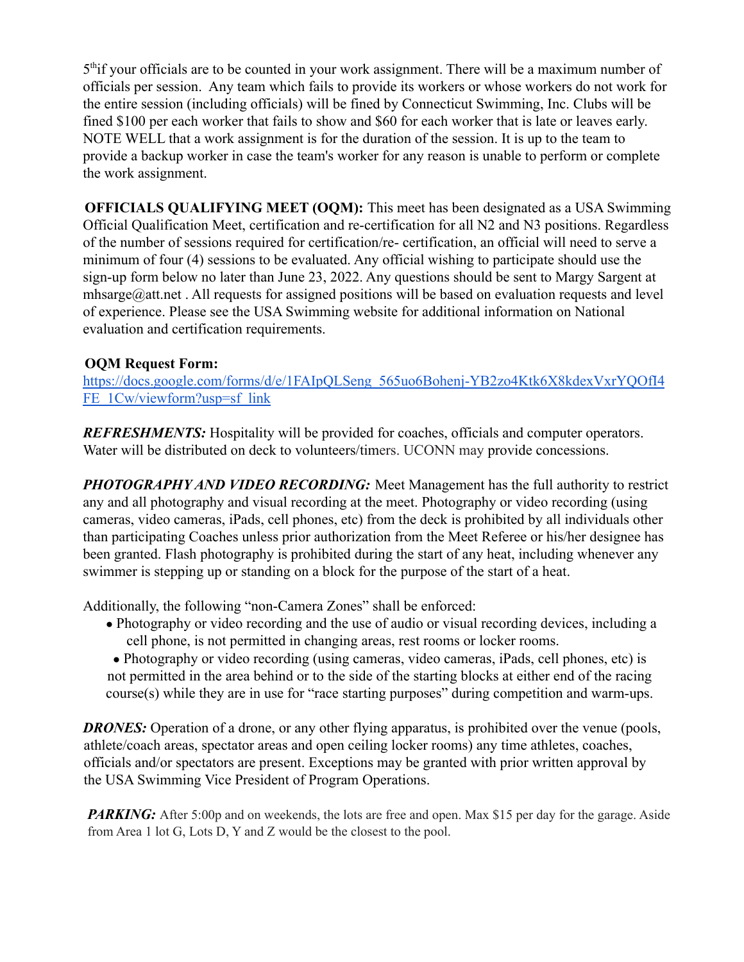5<sup>th</sup>if your officials are to be counted in your work assignment. There will be a maximum number of officials per session. Any team which fails to provide its workers or whose workers do not work for the entire session (including officials) will be fined by Connecticut Swimming, Inc. Clubs will be fined \$100 per each worker that fails to show and \$60 for each worker that is late or leaves early. NOTE WELL that a work assignment is for the duration of the session. It is up to the team to provide a backup worker in case the team's worker for any reason is unable to perform or complete the work assignment.

**OFFICIALS QUALIFYING MEET (OOM):** This meet has been designated as a USA Swimming Official Qualification Meet, certification and re-certification for all N2 and N3 positions. Regardless of the number of sessions required for certification/re- certification, an official will need to serve a minimum of four (4) sessions to be evaluated. Any official wishing to participate should use the sign-up form below no later than June 23, 2022. Any questions should be sent to Margy Sargent at mhsarge@att.net . All requests for assigned positions will be based on evaluation requests and level of experience. Please see the USA Swimming website for additional information on National evaluation and certification requirements.

## **OQM Request Form:**

[https://docs.google.com/forms/d/e/1FAIpQLSeng\\_565uo6Bohenj-YB2zo4Ktk6X8kdexVxrYQOfI4](https://docs.google.com/forms/d/e/1FAIpQLSeng_565uo6Bohenj-YB2zo4Ktk6X8kdexVxrYQOfI4FE_1Cw/viewform?usp=sf_link) [FE\\_1Cw/viewform?usp=sf\\_link](https://docs.google.com/forms/d/e/1FAIpQLSeng_565uo6Bohenj-YB2zo4Ktk6X8kdexVxrYQOfI4FE_1Cw/viewform?usp=sf_link)

*REFRESHMENTS:* Hospitality will be provided for coaches, officials and computer operators. Water will be distributed on deck to volunteers/timers. UCONN may provide concessions.

*PHOTOGRAPHY AND VIDEO RECORDING:* Meet Management has the full authority to restrict any and all photography and visual recording at the meet. Photography or video recording (using cameras, video cameras, iPads, cell phones, etc) from the deck is prohibited by all individuals other than participating Coaches unless prior authorization from the Meet Referee or his/her designee has been granted. Flash photography is prohibited during the start of any heat, including whenever any swimmer is stepping up or standing on a block for the purpose of the start of a heat.

Additionally, the following "non-Camera Zones" shall be enforced:

• Photography or video recording and the use of audio or visual recording devices, including a cell phone, is not permitted in changing areas, rest rooms or locker rooms.

• Photography or video recording (using cameras, video cameras, iPads, cell phones, etc) is not permitted in the area behind or to the side of the starting blocks at either end of the racing course(s) while they are in use for "race starting purposes" during competition and warm-ups.

*DRONES:* Operation of a drone, or any other flying apparatus, is prohibited over the venue (pools, athlete/coach areas, spectator areas and open ceiling locker rooms) any time athletes, coaches, officials and/or spectators are present. Exceptions may be granted with prior written approval by the USA Swimming Vice President of Program Operations.

**PARKING:** After 5:00p and on weekends, the lots are free and open. Max \$15 per day for the garage. Aside from Area 1 lot G, Lots D, Y and Z would be the closest to the pool.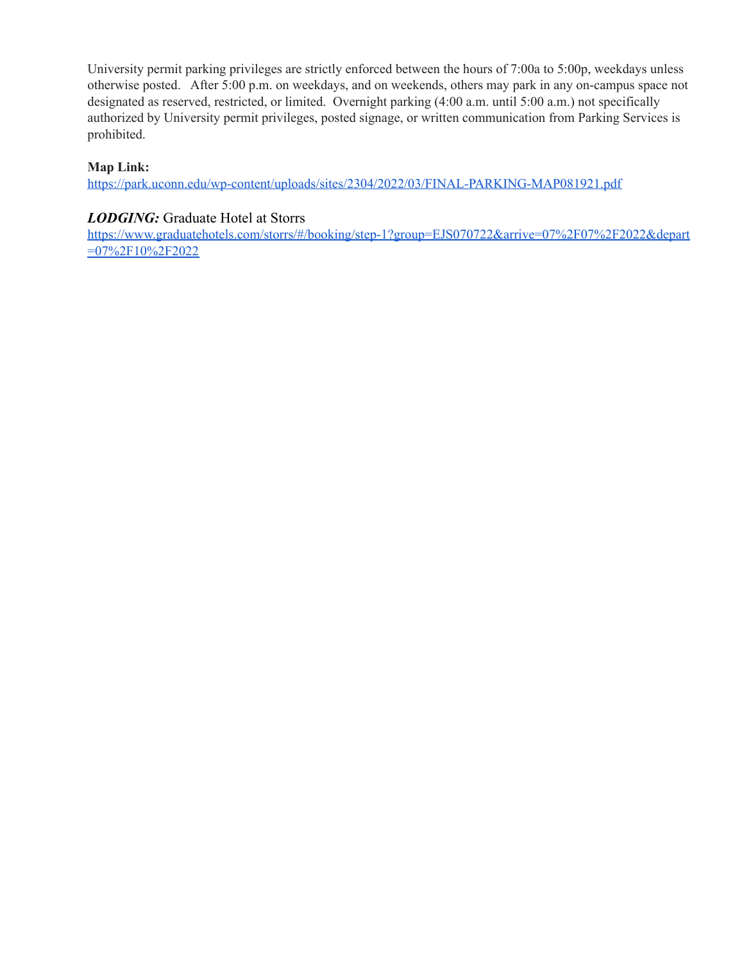University permit parking privileges are strictly enforced between the hours of 7:00a to 5:00p, weekdays unless otherwise posted. After 5:00 p.m. on weekdays, and on weekends, others may park in any on-campus space not designated as reserved, restricted, or limited. Overnight parking (4:00 a.m. until 5:00 a.m.) not specifically authorized by University permit privileges, posted signage, or written communication from Parking Services is prohibited.

### **Map Link:**

<https://park.uconn.edu/wp-content/uploads/sites/2304/2022/03/FINAL-PARKING-MAP081921.pdf>

### *LODGING:* Graduate Hotel at Storrs

[https://www.graduatehotels.com/storrs/#/booking/step-1?group=EJS070722&arrive=07%2F07%2F2022&depart](https://nam10.safelinks.protection.outlook.com/?url=https%3A%2F%2Fwww.graduatehotels.com%2Fstorrs%2F%23%2Fbooking%2Fstep-1%3Fgroup%3DEJS070722%26arrive%3D07%252F07%252F2022%26depart%3D07%252F10%252F2022&data=04%7C01%7C%7C9433c54ac9014618edc908da17e3e13b%7C17f1a87e2a254eaab9df9d439034b080%7C0%7C0%7C637848564756129576%7CUnknown%7CTWFpbGZsb3d8eyJWIjoiMC4wLjAwMDAiLCJQIjoiV2luMzIiLCJBTiI6Ik1haWwiLCJXVCI6Mn0%3D%7C3000&sdata=m4LT7fCICqV7XQoMDvcGfY6F9cHRLn19thU43EVmF%2B8%3D&reserved=0) [=07%2F10%2F2022](https://nam10.safelinks.protection.outlook.com/?url=https%3A%2F%2Fwww.graduatehotels.com%2Fstorrs%2F%23%2Fbooking%2Fstep-1%3Fgroup%3DEJS070722%26arrive%3D07%252F07%252F2022%26depart%3D07%252F10%252F2022&data=04%7C01%7C%7C9433c54ac9014618edc908da17e3e13b%7C17f1a87e2a254eaab9df9d439034b080%7C0%7C0%7C637848564756129576%7CUnknown%7CTWFpbGZsb3d8eyJWIjoiMC4wLjAwMDAiLCJQIjoiV2luMzIiLCJBTiI6Ik1haWwiLCJXVCI6Mn0%3D%7C3000&sdata=m4LT7fCICqV7XQoMDvcGfY6F9cHRLn19thU43EVmF%2B8%3D&reserved=0)